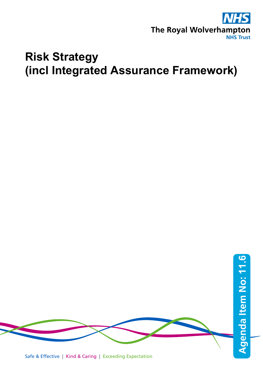

## **Risk Strategy (incl Integrated Assurance Framework)**



Safe & Effective | Kind & Caring | Exceeding Expectation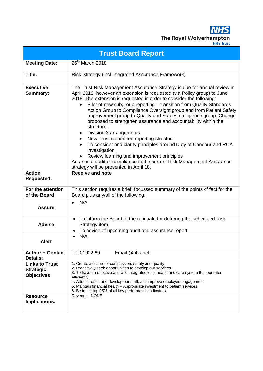**NHS** The Royal Wolverhampton

| <b>Trust Board Report</b>                                      |                                                                                                                                                                                                                                                                                                                                                                                                                                                                                                                                                                                                                                                                                                                                                                                                                                                                                           |
|----------------------------------------------------------------|-------------------------------------------------------------------------------------------------------------------------------------------------------------------------------------------------------------------------------------------------------------------------------------------------------------------------------------------------------------------------------------------------------------------------------------------------------------------------------------------------------------------------------------------------------------------------------------------------------------------------------------------------------------------------------------------------------------------------------------------------------------------------------------------------------------------------------------------------------------------------------------------|
| <b>Meeting Date:</b>                                           | 26 <sup>th</sup> March 2018                                                                                                                                                                                                                                                                                                                                                                                                                                                                                                                                                                                                                                                                                                                                                                                                                                                               |
| Title:                                                         | Risk Strategy (incl Integrated Assurance Framework)                                                                                                                                                                                                                                                                                                                                                                                                                                                                                                                                                                                                                                                                                                                                                                                                                                       |
| <b>Executive</b><br>Summary:<br><b>Action</b>                  | The Trust Risk Management Assurance Strategy is due for annual review in<br>April 2018, however an extension is requested (via Policy group) to June<br>2018. The extension is requested in order to consider the following:<br>Pilot of new subgroup reporting - transition from Quality Standards<br>Action Group to Compliance Oversight group and from Patient Safety<br>Improvement group to Quality and Safety Intelligence group. Change<br>proposed to strengthen assurance and accountability within the<br>structure.<br>Division 3 arrangements<br>New Trust committee reporting structure<br>To consider and clarify principles around Duty of Candour and RCA<br>investigation<br>Review learning and improvement principles<br>An annual audit of compliance to the current Risk Management Assurance<br>strategy will be presented in April 18.<br><b>Receive and note</b> |
| <b>Requested:</b>                                              |                                                                                                                                                                                                                                                                                                                                                                                                                                                                                                                                                                                                                                                                                                                                                                                                                                                                                           |
| For the attention<br>of the Board                              | This section requires a brief, focussed summary of the points of fact for the<br>Board plus any/all of the following:                                                                                                                                                                                                                                                                                                                                                                                                                                                                                                                                                                                                                                                                                                                                                                     |
| <b>Assure</b>                                                  | N/A<br>$\bullet$                                                                                                                                                                                                                                                                                                                                                                                                                                                                                                                                                                                                                                                                                                                                                                                                                                                                          |
| <b>Advise</b>                                                  | To inform the Board of the rationale for deferring the scheduled Risk<br>٠<br>Strategy item.<br>To advise of upcoming audit and assurance report.<br>٠                                                                                                                                                                                                                                                                                                                                                                                                                                                                                                                                                                                                                                                                                                                                    |
| <b>Alert</b>                                                   | N/A<br>$\bullet$                                                                                                                                                                                                                                                                                                                                                                                                                                                                                                                                                                                                                                                                                                                                                                                                                                                                          |
| <b>Author + Contact</b><br><b>Details:</b>                     | Email @nhs.net<br>Tel 01902 69                                                                                                                                                                                                                                                                                                                                                                                                                                                                                                                                                                                                                                                                                                                                                                                                                                                            |
| <b>Links to Trust</b><br><b>Strategic</b><br><b>Objectives</b> | 1. Create a culture of compassion, safety and quality<br>2. Proactively seek opportunities to develop our services<br>3. To have an effective and well integrated local health and care system that operates<br>efficiently<br>4. Attract, retain and develop our staff, and improve employee engagement<br>5. Maintain financial health - Appropriate investment to patient services<br>6. Be in the top 25% of all key performance indicators                                                                                                                                                                                                                                                                                                                                                                                                                                           |
| <b>Resource</b><br>Implications:                               | Revenue: NONE                                                                                                                                                                                                                                                                                                                                                                                                                                                                                                                                                                                                                                                                                                                                                                                                                                                                             |